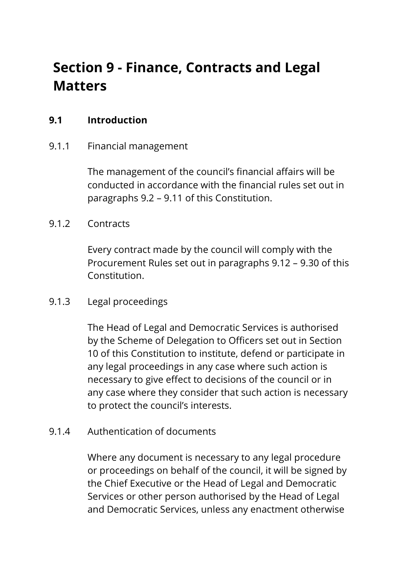# **Section 9 - Finance, Contracts and Legal Matters**

## **9.1 Introduction**

## 9.1.1 Financial management

The management of the council's financial affairs will be conducted in accordance with the financial rules set out in paragraphs 9.2 – 9.11 of this Constitution.

### 9.1.2 Contracts

Every contract made by the council will comply with the Procurement Rules set out in paragraphs 9.12 – 9.30 of this Constitution.

## 9.1.3 Legal proceedings

The Head of Legal and Democratic Services is authorised by the Scheme of Delegation to Officers set out in Section 10 of this Constitution to institute, defend or participate in any legal proceedings in any case where such action is necessary to give effect to decisions of the council or in any case where they consider that such action is necessary to protect the council's interests.

#### 9.1.4 Authentication of documents

Where any document is necessary to any legal procedure or proceedings on behalf of the council, it will be signed by the Chief Executive or the Head of Legal and Democratic Services or other person authorised by the Head of Legal and Democratic Services, unless any enactment otherwise